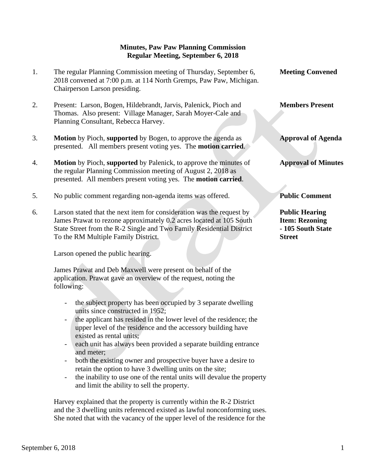## **Minutes, Paw Paw Planning Commission Regular Meeting, September 6, 2018**

- 1. The regular Planning Commission meeting of Thursday, September 6, **Meeting Convened** 2018 convened at 7:00 p.m. at 114 North Gremps, Paw Paw, Michigan. Chairperson Larson presiding.
- 2. Present: Larson, Bogen, Hildebrandt, Jarvis, Palenick, Pioch and **Members Present** Thomas. Also present: Village Manager, Sarah Moyer-Cale and Planning Consultant, Rebecca Harvey.
- 3. **Motion** by Pioch, **supported** by Bogen, to approve the agenda as **Approval of Agenda** presented. All members present voting yes. The **motion carried**.
- 4. **Motion** by Pioch, **supported** by Palenick, to approve the minutes of **Approval of Minutes** the regular Planning Commission meeting of August 2, 2018 as presented. All members present voting yes. The **motion carried**.
- 5. No public comment regarding non-agenda items was offered. **Public Comment**
- 6. Larson stated that the next item for consideration was the request by **Public Hearing** James Prawat to rezone approximately 0.2 acres located at 105 South **Item: Rezoning** State Street from the R-2 Single and Two Family Residential District **- 105 South State** To the RM Multiple Family District. **Street**

Larson opened the public hearing.

 James Prawat and Deb Maxwell were present on behalf of the application. Prawat gave an overview of the request, noting the following:

- the subject property has been occupied by 3 separate dwelling units since constructed in 1952;
- the applicant has resided in the lower level of the residence; the upper level of the residence and the accessory building have existed as rental units;
- each unit has always been provided a separate building entrance and meter;
- both the existing owner and prospective buyer have a desire to retain the option to have 3 dwelling units on the site;
- the inability to use one of the rental units will devalue the property and limit the ability to sell the property.

 Harvey explained that the property is currently within the R-2 District and the 3 dwelling units referenced existed as lawful nonconforming uses. She noted that with the vacancy of the upper level of the residence for the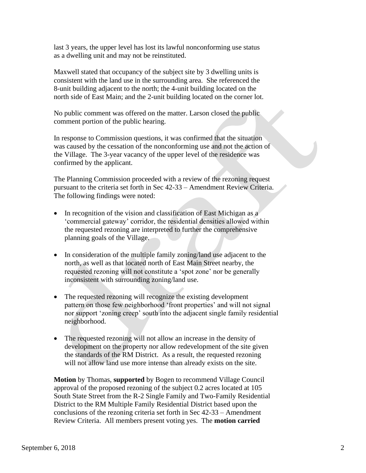last 3 years, the upper level has lost its lawful nonconforming use status as a dwelling unit and may not be reinstituted.

 Maxwell stated that occupancy of the subject site by 3 dwelling units is consistent with the land use in the surrounding area. She referenced the 8-unit building adjacent to the north; the 4-unit building located on the north side of East Main; and the 2-unit building located on the corner lot.

 No public comment was offered on the matter. Larson closed the public comment portion of the public hearing.

 In response to Commission questions, it was confirmed that the situation was caused by the cessation of the nonconforming use and not the action of the Village. The 3-year vacancy of the upper level of the residence was confirmed by the applicant.

 The Planning Commission proceeded with a review of the rezoning request pursuant to the criteria set forth in Sec 42-33 – Amendment Review Criteria. The following findings were noted:

- In recognition of the vision and classification of East Michigan as a 'commercial gateway' corridor, the residential densities allowed within the requested rezoning are interpreted to further the comprehensive planning goals of the Village.
- In consideration of the multiple family zoning/land use adjacent to the north, as well as that located north of East Main Street nearby, the requested rezoning will not constitute a 'spot zone' nor be generally inconsistent with surrounding zoning/land use.
- The requested rezoning will recognize the existing development pattern on those few neighborhood 'front properties' and will not signal nor support 'zoning creep' south into the adjacent single family residential neighborhood.
- The requested rezoning will not allow an increase in the density of development on the property nor allow redevelopment of the site given the standards of the RM District. As a result, the requested rezoning will not allow land use more intense than already exists on the site.

 **Motion** by Thomas, **supported** by Bogen to recommend Village Council approval of the proposed rezoning of the subject 0.2 acres located at 105 South State Street from the R-2 Single Family and Two-Family Residential District to the RM Multiple Family Residential District based upon the conclusions of the rezoning criteria set forth in Sec 42-33 – Amendment Review Criteria. All members present voting yes. The **motion carried**